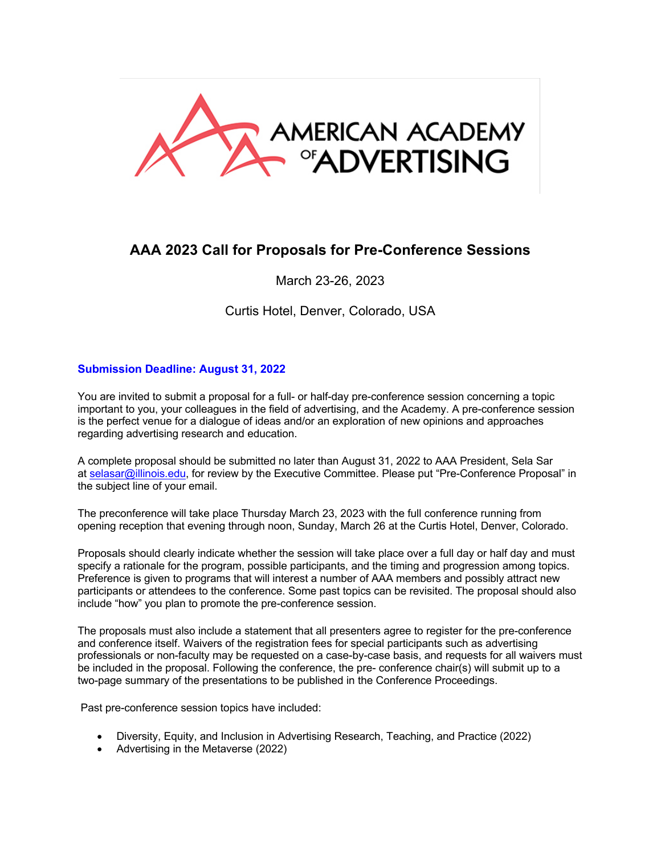

## **AAA 2023 Call for Proposals for Pre-Conference Sessions**

March 23-26, 2023

Curtis Hotel, Denver, Colorado, USA

## **Submission Deadline: August 31, 2022**

You are invited to submit a proposal for a full- or half-day pre-conference session concerning a topic important to you, your colleagues in the field of advertising, and the Academy. A pre-conference session is the perfect venue for a dialogue of ideas and/or an exploration of new opinions and approaches regarding advertising research and education.

A complete proposal should be submitted no later than August 31, 2022 to AAA President, Sela Sar at selasar@illinois.edu, for review by the Executive Committee. Please put "Pre-Conference Proposal" in the subject line of your email.

The preconference will take place Thursday March 23, 2023 with the full conference running from opening reception that evening through noon, Sunday, March 26 at the Curtis Hotel, Denver, Colorado.

Proposals should clearly indicate whether the session will take place over a full day or half day and must specify a rationale for the program, possible participants, and the timing and progression among topics. Preference is given to programs that will interest a number of AAA members and possibly attract new participants or attendees to the conference. Some past topics can be revisited. The proposal should also include "how" you plan to promote the pre-conference session.

The proposals must also include a statement that all presenters agree to register for the pre-conference and conference itself. Waivers of the registration fees for special participants such as advertising professionals or non-faculty may be requested on a case-by-case basis, and requests for all waivers must be included in the proposal. Following the conference, the pre- conference chair(s) will submit up to a two-page summary of the presentations to be published in the Conference Proceedings.

Past pre-conference session topics have included:

- Diversity, Equity, and Inclusion in Advertising Research, Teaching, and Practice (2022)
- Advertising in the Metaverse (2022)